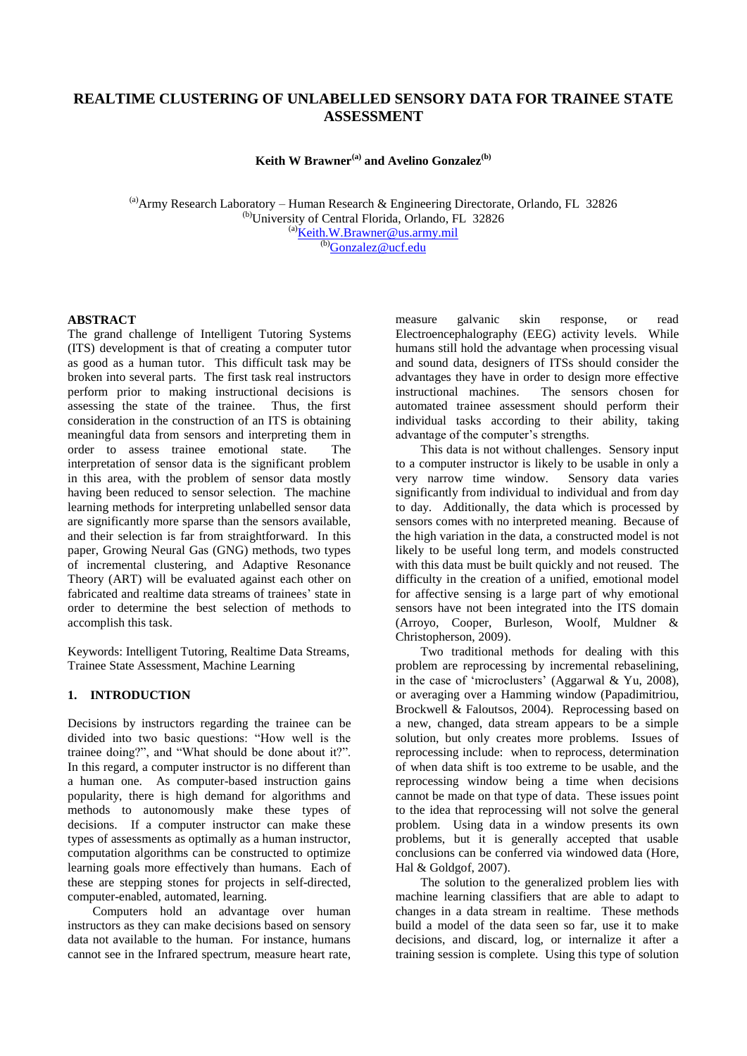# **REALTIME CLUSTERING OF UNLABELLED SENSORY DATA FOR TRAINEE STATE ASSESSMENT**

**Keith W Brawner(a) and Avelino Gonzalez(b)**

(a)Army Research Laboratory – Human Research & Engineering Directorate, Orlando, FL 32826 (b)University of Central Florida, Orlando, FL 32826  $^{(a)}$ [Keith.W.Brawner@us.army.mil](mailto:Keith.W.Brawner@us.army.mil)  $\frac{(b)}{(c)}$ [Gonzalez@ucf.edu](mailto:Gonzalez@ucf.edu)

#### **ABSTRACT**

The grand challenge of Intelligent Tutoring Systems (ITS) development is that of creating a computer tutor as good as a human tutor. This difficult task may be broken into several parts. The first task real instructors perform prior to making instructional decisions is assessing the state of the trainee. Thus, the first consideration in the construction of an ITS is obtaining meaningful data from sensors and interpreting them in order to assess trainee emotional state. The interpretation of sensor data is the significant problem in this area, with the problem of sensor data mostly having been reduced to sensor selection. The machine learning methods for interpreting unlabelled sensor data are significantly more sparse than the sensors available, and their selection is far from straightforward. In this paper, Growing Neural Gas (GNG) methods, two types of incremental clustering, and Adaptive Resonance Theory (ART) will be evaluated against each other on fabricated and realtime data streams of trainees' state in order to determine the best selection of methods to accomplish this task.

Keywords: Intelligent Tutoring, Realtime Data Streams, Trainee State Assessment, Machine Learning

## **1. INTRODUCTION**

Decisions by instructors regarding the trainee can be divided into two basic questions: "How well is the trainee doing?", and "What should be done about it?". In this regard, a computer instructor is no different than a human one. As computer-based instruction gains popularity, there is high demand for algorithms and methods to autonomously make these types of decisions. If a computer instructor can make these types of assessments as optimally as a human instructor, computation algorithms can be constructed to optimize learning goals more effectively than humans. Each of these are stepping stones for projects in self-directed, computer-enabled, automated, learning.

Computers hold an advantage over human instructors as they can make decisions based on sensory data not available to the human. For instance, humans cannot see in the Infrared spectrum, measure heart rate,

measure galvanic skin response, or read Electroencephalography (EEG) activity levels. While humans still hold the advantage when processing visual and sound data, designers of ITSs should consider the advantages they have in order to design more effective instructional machines. The sensors chosen for automated trainee assessment should perform their individual tasks according to their ability, taking advantage of the computer's strengths.

This data is not without challenges. Sensory input to a computer instructor is likely to be usable in only a very narrow time window. Sensory data varies significantly from individual to individual and from day to day. Additionally, the data which is processed by sensors comes with no interpreted meaning. Because of the high variation in the data, a constructed model is not likely to be useful long term, and models constructed with this data must be built quickly and not reused. The difficulty in the creation of a unified, emotional model for affective sensing is a large part of why emotional sensors have not been integrated into the ITS domain (Arroyo, Cooper, Burleson, Woolf, Muldner & Christopherson, 2009).

Two traditional methods for dealing with this problem are reprocessing by incremental rebaselining, in the case of 'microclusters' (Aggarwal & Yu, 2008), or averaging over a Hamming window (Papadimitriou, Brockwell & Faloutsos, 2004). Reprocessing based on a new, changed, data stream appears to be a simple solution, but only creates more problems. Issues of reprocessing include: when to reprocess, determination of when data shift is too extreme to be usable, and the reprocessing window being a time when decisions cannot be made on that type of data. These issues point to the idea that reprocessing will not solve the general problem. Using data in a window presents its own problems, but it is generally accepted that usable conclusions can be conferred via windowed data (Hore, Hal & Goldgof, 2007).

The solution to the generalized problem lies with machine learning classifiers that are able to adapt to changes in a data stream in realtime. These methods build a model of the data seen so far, use it to make decisions, and discard, log, or internalize it after a training session is complete. Using this type of solution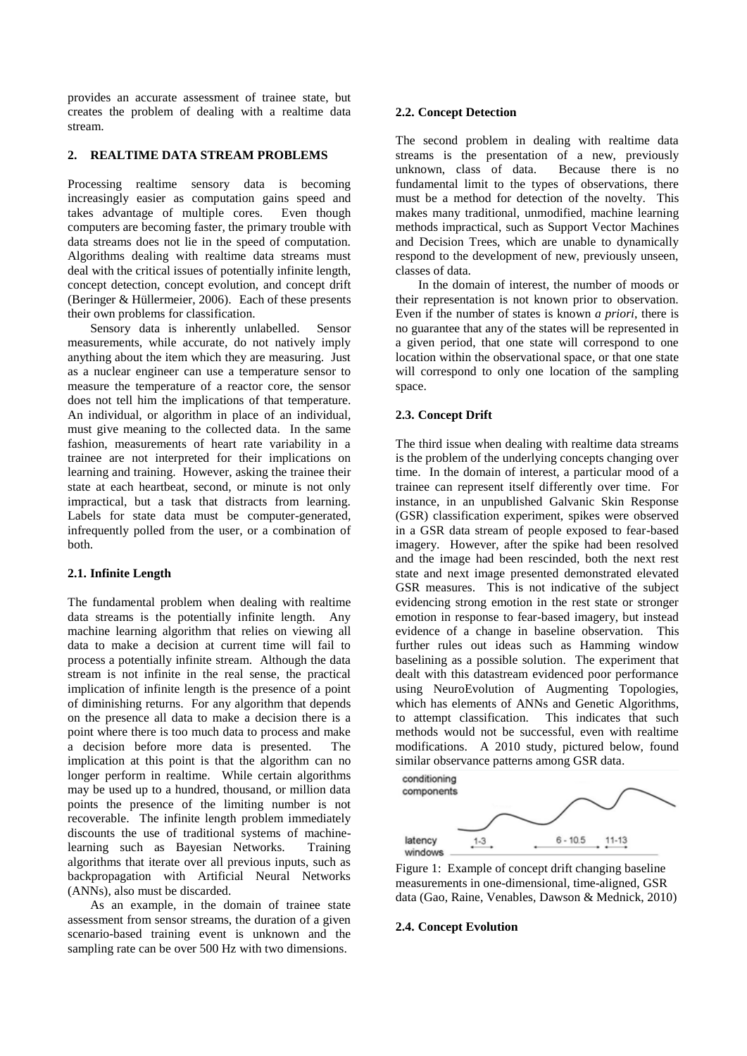provides an accurate assessment of trainee state, but creates the problem of dealing with a realtime data stream.

### **2. REALTIME DATA STREAM PROBLEMS**

Processing realtime sensory data is becoming increasingly easier as computation gains speed and takes advantage of multiple cores. Even though computers are becoming faster, the primary trouble with data streams does not lie in the speed of computation. Algorithms dealing with realtime data streams must deal with the critical issues of potentially infinite length, concept detection, concept evolution, and concept drift (Beringer & Hüllermeier, 2006). Each of these presents their own problems for classification.

Sensory data is inherently unlabelled. Sensor measurements, while accurate, do not natively imply anything about the item which they are measuring. Just as a nuclear engineer can use a temperature sensor to measure the temperature of a reactor core, the sensor does not tell him the implications of that temperature. An individual, or algorithm in place of an individual, must give meaning to the collected data. In the same fashion, measurements of heart rate variability in a trainee are not interpreted for their implications on learning and training. However, asking the trainee their state at each heartbeat, second, or minute is not only impractical, but a task that distracts from learning. Labels for state data must be computer-generated, infrequently polled from the user, or a combination of both.

## **2.1. Infinite Length**

The fundamental problem when dealing with realtime data streams is the potentially infinite length. Any machine learning algorithm that relies on viewing all data to make a decision at current time will fail to process a potentially infinite stream. Although the data stream is not infinite in the real sense, the practical implication of infinite length is the presence of a point of diminishing returns. For any algorithm that depends on the presence all data to make a decision there is a point where there is too much data to process and make a decision before more data is presented. The implication at this point is that the algorithm can no longer perform in realtime. While certain algorithms may be used up to a hundred, thousand, or million data points the presence of the limiting number is not recoverable. The infinite length problem immediately discounts the use of traditional systems of machinelearning such as Bayesian Networks. Training algorithms that iterate over all previous inputs, such as backpropagation with Artificial Neural Networks (ANNs), also must be discarded.

As an example, in the domain of trainee state assessment from sensor streams, the duration of a given scenario-based training event is unknown and the sampling rate can be over 500 Hz with two dimensions.

### **2.2. Concept Detection**

The second problem in dealing with realtime data streams is the presentation of a new, previously unknown, class of data. Because there is no fundamental limit to the types of observations, there must be a method for detection of the novelty. This makes many traditional, unmodified, machine learning methods impractical, such as Support Vector Machines and Decision Trees, which are unable to dynamically respond to the development of new, previously unseen, classes of data.

In the domain of interest, the number of moods or their representation is not known prior to observation. Even if the number of states is known *a priori*, there is no guarantee that any of the states will be represented in a given period, that one state will correspond to one location within the observational space, or that one state will correspond to only one location of the sampling space.

## **2.3. Concept Drift**

The third issue when dealing with realtime data streams is the problem of the underlying concepts changing over time. In the domain of interest, a particular mood of a trainee can represent itself differently over time. For instance, in an unpublished Galvanic Skin Response (GSR) classification experiment, spikes were observed in a GSR data stream of people exposed to fear-based imagery. However, after the spike had been resolved and the image had been rescinded, both the next rest state and next image presented demonstrated elevated GSR measures. This is not indicative of the subject evidencing strong emotion in the rest state or stronger emotion in response to fear-based imagery, but instead evidence of a change in baseline observation. This further rules out ideas such as Hamming window baselining as a possible solution. The experiment that dealt with this datastream evidenced poor performance using NeuroEvolution of Augmenting Topologies, which has elements of ANNs and Genetic Algorithms, to attempt classification. This indicates that such methods would not be successful, even with realtime modifications. A 2010 study, pictured below, found similar observance patterns among GSR data.



Figure 1: Example of concept drift changing baseline measurements in one-dimensional, time-aligned, GSR data (Gao, Raine, Venables, Dawson & Mednick, 2010)

### **2.4. Concept Evolution**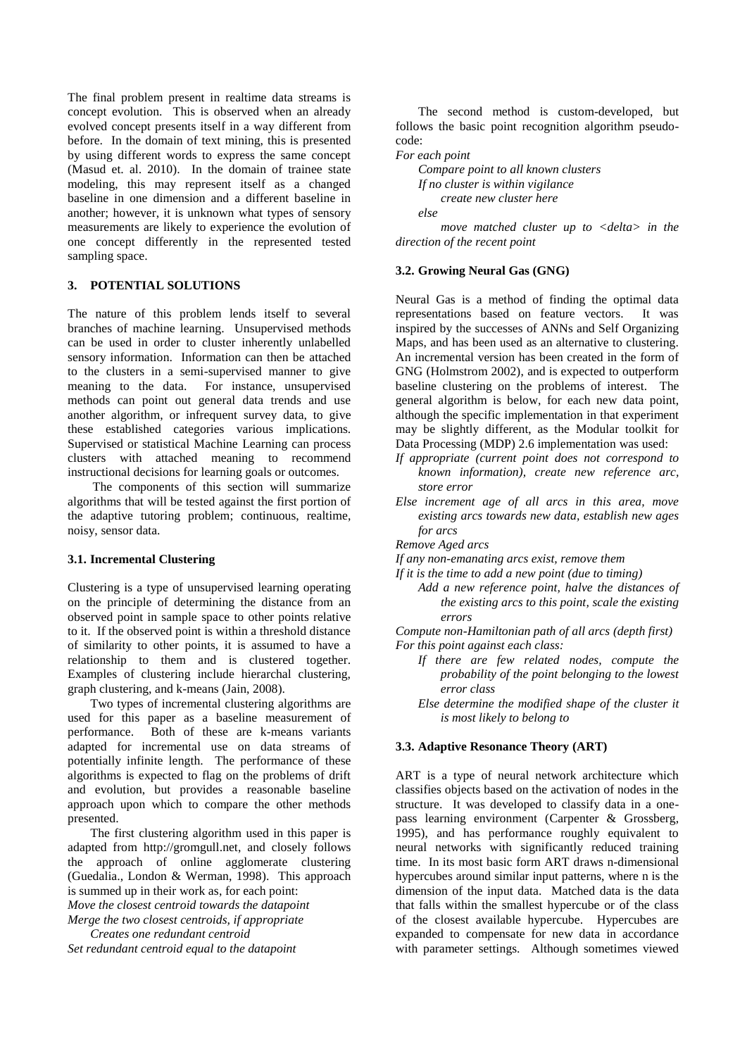The final problem present in realtime data streams is concept evolution. This is observed when an already evolved concept presents itself in a way different from before. In the domain of text mining, this is presented by using different words to express the same concept (Masud et. al. 2010). In the domain of trainee state modeling, this may represent itself as a changed baseline in one dimension and a different baseline in another; however, it is unknown what types of sensory measurements are likely to experience the evolution of one concept differently in the represented tested sampling space.

### **3. POTENTIAL SOLUTIONS**

The nature of this problem lends itself to several branches of machine learning. Unsupervised methods can be used in order to cluster inherently unlabelled sensory information. Information can then be attached to the clusters in a semi-supervised manner to give meaning to the data. For instance, unsupervised methods can point out general data trends and use another algorithm, or infrequent survey data, to give these established categories various implications. Supervised or statistical Machine Learning can process clusters with attached meaning to recommend instructional decisions for learning goals or outcomes.

The components of this section will summarize algorithms that will be tested against the first portion of the adaptive tutoring problem; continuous, realtime, noisy, sensor data.

#### **3.1. Incremental Clustering**

Clustering is a type of unsupervised learning operating on the principle of determining the distance from an observed point in sample space to other points relative to it. If the observed point is within a threshold distance of similarity to other points, it is assumed to have a relationship to them and is clustered together. Examples of clustering include hierarchal clustering, graph clustering, and k-means (Jain, 2008).

Two types of incremental clustering algorithms are used for this paper as a baseline measurement of performance. Both of these are k-means variants adapted for incremental use on data streams of potentially infinite length. The performance of these algorithms is expected to flag on the problems of drift and evolution, but provides a reasonable baseline approach upon which to compare the other methods presented.

The first clustering algorithm used in this paper is adapted from [http://gromgull.net,](http://gromgull.net/) and closely follows the approach of online agglomerate clustering (Guedalia., London & Werman, 1998). This approach is summed up in their work as, for each point:

*Move the closest centroid towards the datapoint Merge the two closest centroids, if appropriate*

*Creates one redundant centroid Set redundant centroid equal to the datapoint*

The second method is custom-developed, but follows the basic point recognition algorithm pseudocode:

*For each point*

*Compare point to all known clusters If no cluster is within vigilance create new cluster here else*

*move matched cluster up to <delta> in the direction of the recent point*

### **3.2. Growing Neural Gas (GNG)**

Neural Gas is a method of finding the optimal data representations based on feature vectors. It was inspired by the successes of ANNs and Self Organizing Maps, and has been used as an alternative to clustering. An incremental version has been created in the form of GNG (Holmstrom 2002), and is expected to outperform baseline clustering on the problems of interest. The general algorithm is below, for each new data point, although the specific implementation in that experiment may be slightly different, as the Modular toolkit for Data Processing (MDP) 2.6 implementation was used:

- *If appropriate (current point does not correspond to known information), create new reference arc, store error*
- *Else increment age of all arcs in this area, move existing arcs towards new data, establish new ages for arcs*

*Remove Aged arcs*

*If any non-emanating arcs exist, remove them*

*If it is the time to add a new point (due to timing)*

*Add a new reference point, halve the distances of the existing arcs to this point, scale the existing errors*

*Compute non-Hamiltonian path of all arcs (depth first) For this point against each class:*

- *If there are few related nodes, compute the probability of the point belonging to the lowest error class*
- *Else determine the modified shape of the cluster it is most likely to belong to*

## **3.3. Adaptive Resonance Theory (ART)**

ART is a type of neural network architecture which classifies objects based on the activation of nodes in the structure. It was developed to classify data in a onepass learning environment (Carpenter & Grossberg, 1995), and has performance roughly equivalent to neural networks with significantly reduced training time. In its most basic form ART draws n-dimensional hypercubes around similar input patterns, where n is the dimension of the input data. Matched data is the data that falls within the smallest hypercube or of the class of the closest available hypercube. Hypercubes are expanded to compensate for new data in accordance with parameter settings. Although sometimes viewed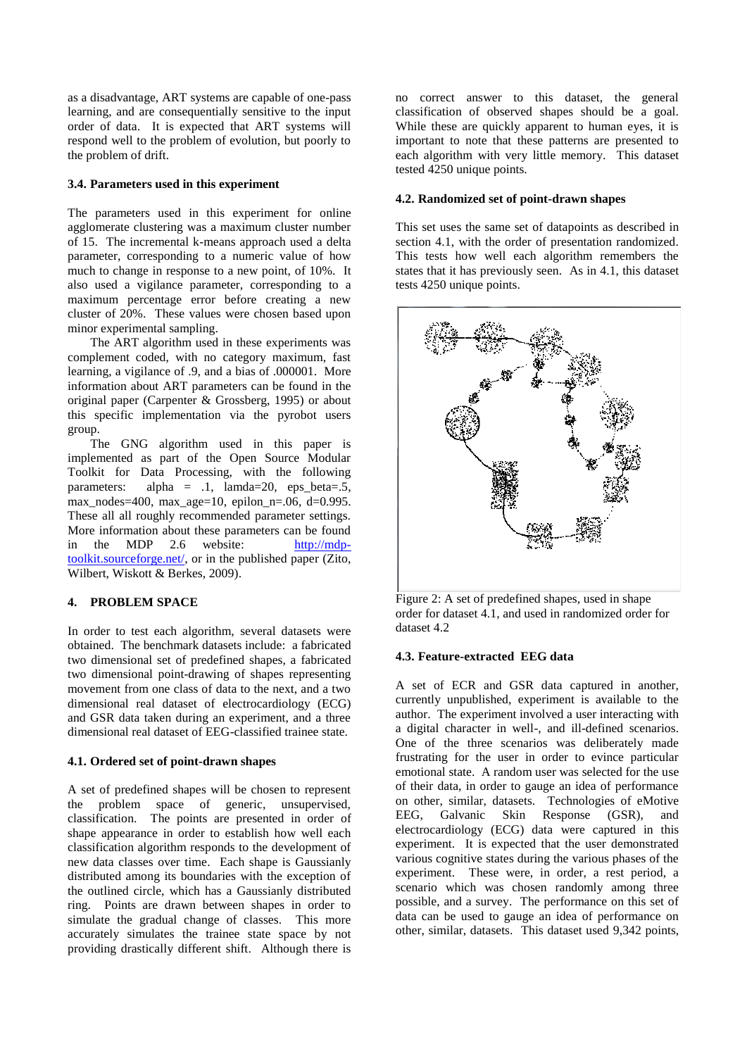as a disadvantage, ART systems are capable of one-pass learning, and are consequentially sensitive to the input order of data. It is expected that ART systems will respond well to the problem of evolution, but poorly to the problem of drift.

### **3.4. Parameters used in this experiment**

The parameters used in this experiment for online agglomerate clustering was a maximum cluster number of 15. The incremental k-means approach used a delta parameter, corresponding to a numeric value of how much to change in response to a new point, of 10%. It also used a vigilance parameter, corresponding to a maximum percentage error before creating a new cluster of 20%. These values were chosen based upon minor experimental sampling.

The ART algorithm used in these experiments was complement coded, with no category maximum, fast learning, a vigilance of .9, and a bias of .000001. More information about ART parameters can be found in the original paper (Carpenter & Grossberg, 1995) or about this specific implementation via the pyrobot users group.

The GNG algorithm used in this paper is implemented as part of the Open Source Modular Toolkit for Data Processing, with the following parameters: alpha =  $.1$ , lamda=20, eps\_beta= $.5$ , max\_nodes=400, max\_age=10, epilon\_n=.06, d=0.995. These all all roughly recommended parameter settings. More information about these parameters can be found in the MDP 2.6 website: [http://mdp](http://mdp-toolkit.sourceforge.net/)[toolkit.sourceforge.net/,](http://mdp-toolkit.sourceforge.net/) or in the published paper (Zito, Wilbert, Wiskott & Berkes, 2009).

### **4. PROBLEM SPACE**

In order to test each algorithm, several datasets were obtained. The benchmark datasets include: a fabricated two dimensional set of predefined shapes, a fabricated two dimensional point-drawing of shapes representing movement from one class of data to the next, and a two dimensional real dataset of electrocardiology (ECG) and GSR data taken during an experiment, and a three dimensional real dataset of EEG-classified trainee state.

### **4.1. Ordered set of point-drawn shapes**

A set of predefined shapes will be chosen to represent the problem space of generic, unsupervised, classification. The points are presented in order of shape appearance in order to establish how well each classification algorithm responds to the development of new data classes over time. Each shape is Gaussianly distributed among its boundaries with the exception of the outlined circle, which has a Gaussianly distributed ring. Points are drawn between shapes in order to simulate the gradual change of classes. This more accurately simulates the trainee state space by not providing drastically different shift. Although there is

no correct answer to this dataset, the general classification of observed shapes should be a goal. While these are quickly apparent to human eyes, it is important to note that these patterns are presented to each algorithm with very little memory. This dataset tested 4250 unique points.

### **4.2. Randomized set of point-drawn shapes**

This set uses the same set of datapoints as described in section 4.1, with the order of presentation randomized. This tests how well each algorithm remembers the states that it has previously seen. As in 4.1, this dataset tests 4250 unique points.



Figure 2: A set of predefined shapes, used in shape order for dataset 4.1, and used in randomized order for dataset 4.2

### **4.3. Feature-extracted EEG data**

A set of ECR and GSR data captured in another, currently unpublished, experiment is available to the author. The experiment involved a user interacting with a digital character in well-, and ill-defined scenarios. One of the three scenarios was deliberately made frustrating for the user in order to evince particular emotional state. A random user was selected for the use of their data, in order to gauge an idea of performance on other, similar, datasets. Technologies of eMotive EEG, Galvanic Skin Response (GSR), and electrocardiology (ECG) data were captured in this experiment. It is expected that the user demonstrated various cognitive states during the various phases of the experiment. These were, in order, a rest period, a scenario which was chosen randomly among three possible, and a survey. The performance on this set of data can be used to gauge an idea of performance on other, similar, datasets. This dataset used 9,342 points,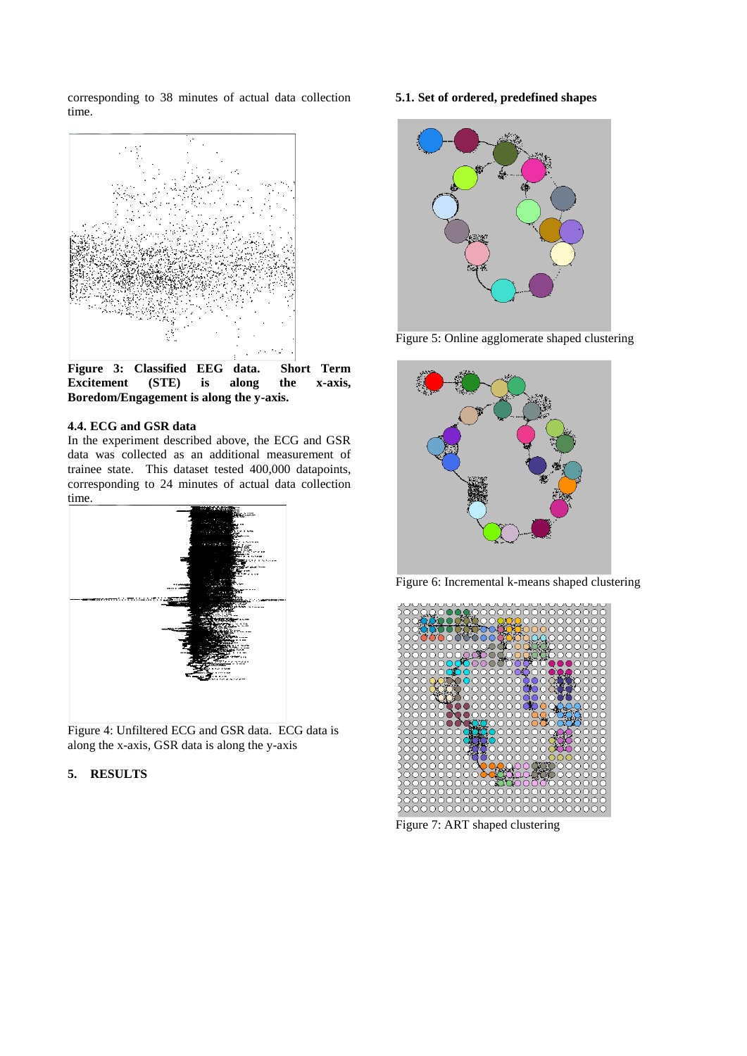corresponding to 38 minutes of actual data collection time.



**Figure 3: Classified EEG data. Short Term Excitement (STE) is along the x-axis, Boredom/Engagement is along the y-axis.**

### **4.4. ECG and GSR data**

In the experiment described above, the ECG and GSR data was collected as an additional measurement of trainee state. This dataset tested 400,000 datapoints, corresponding to 24 minutes of actual data collection time.



Figure 4: Unfiltered ECG and GSR data. ECG data is along the x-axis, GSR data is along the y-axis

# **5. RESULTS**

# **5.1. Set of ordered, predefined shapes**



Figure 5: Online agglomerate shaped clustering



Figure 6: Incremental k-means shaped clustering



Figure 7: ART shaped clustering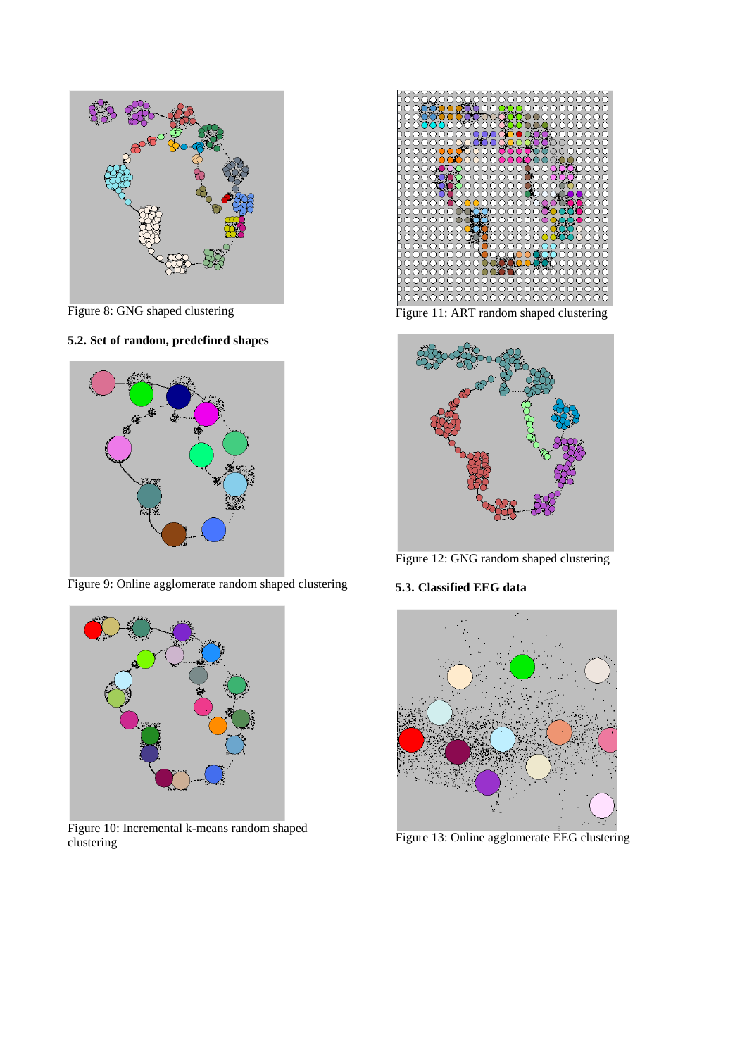

Figure 8: GNG shaped clustering

# **5.2. Set of random, predefined shapes**



Figure 9: Online agglomerate random shaped clustering



Figure 10: Incremental k-means random shaped clustering



Figure 11: ART random shaped clustering



Figure 12: GNG random shaped clustering

# **5.3. Classified EEG data**



Figure 13: Online agglomerate EEG clustering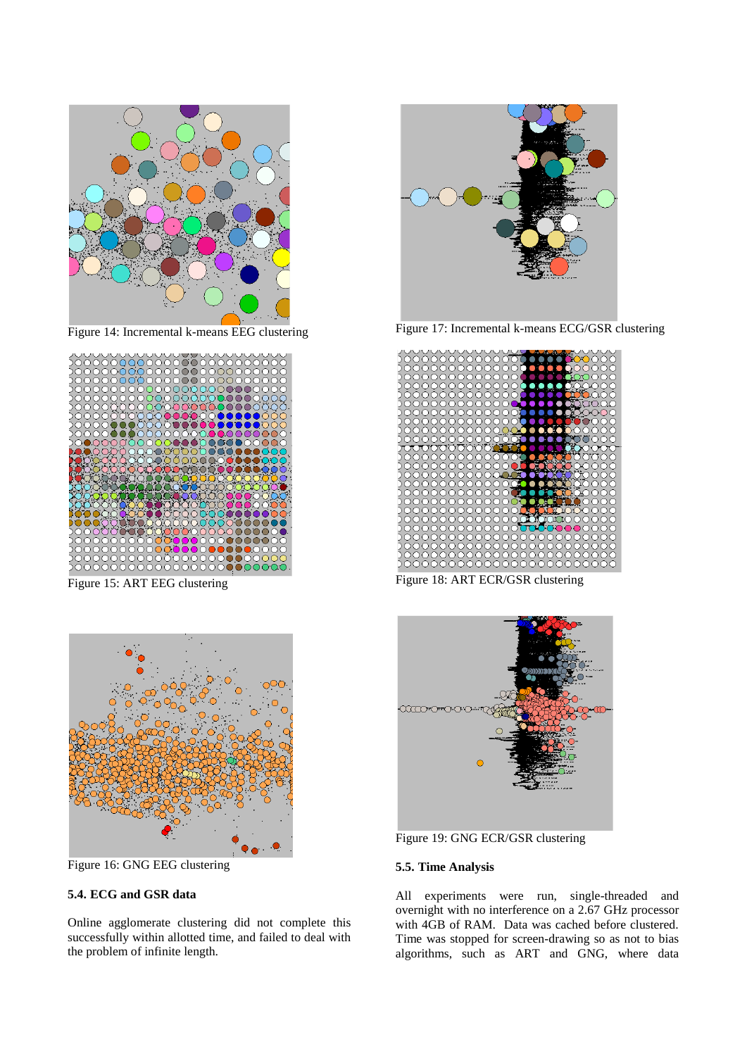

Figure 14: Incremental k-means EEG clustering



Figure 15: ART EEG clustering



Figure 16: GNG EEG clustering

# **5.4. ECG and GSR data**

Online agglomerate clustering did not complete this successfully within allotted time, and failed to deal with the problem of infinite length.



Figure 17: Incremental k-means ECG/GSR clustering



Figure 18: ART ECR/GSR clustering



Figure 19: GNG ECR/GSR clustering

# **5.5. Time Analysis**

All experiments were run, single-threaded and overnight with no interference on a 2.67 GHz processor with 4GB of RAM. Data was cached before clustered. Time was stopped for screen-drawing so as not to bias algorithms, such as ART and GNG, where data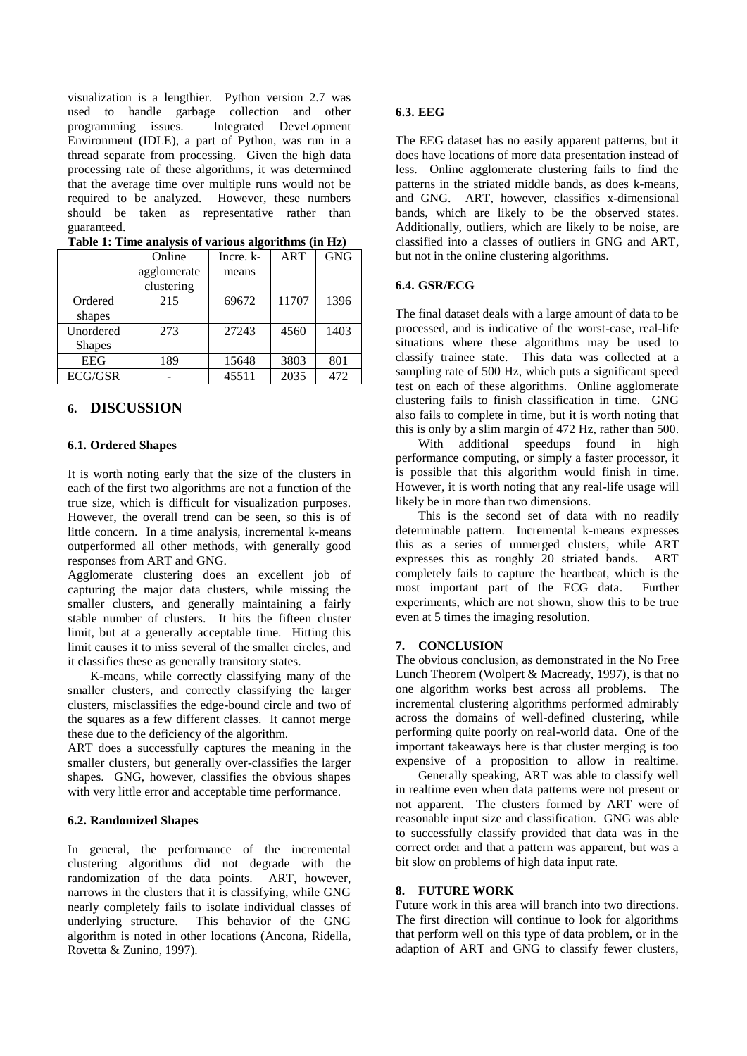visualization is a lengthier. Python version 2.7 was used to handle garbage collection and other programming issues. Integrated DeveLopment Environment (IDLE), a part of Python, was run in a thread separate from processing. Given the high data processing rate of these algorithms, it was determined that the average time over multiple runs would not be required to be analyzed. However, these numbers should be taken as representative rather than guaranteed.

|               | Online      | Incre. k- | <b>ART</b> | <b>GNG</b> |
|---------------|-------------|-----------|------------|------------|
|               | agglomerate | means     |            |            |
|               | clustering  |           |            |            |
| Ordered       | 215         | 69672     | 11707      | 1396       |
| shapes        |             |           |            |            |
| Unordered     | 273         | 27243     | 4560       | 1403       |
| <b>Shapes</b> |             |           |            |            |
| <b>EEG</b>    | 189         | 15648     | 3803       | 801        |
| ECG/GSR       |             | 45511     | 2035       | 472        |

**Table 1: Time analysis of various algorithms (in Hz)**

# **6. DISCUSSION**

### **6.1. Ordered Shapes**

It is worth noting early that the size of the clusters in each of the first two algorithms are not a function of the true size, which is difficult for visualization purposes. However, the overall trend can be seen, so this is of little concern. In a time analysis, incremental k-means outperformed all other methods, with generally good responses from ART and GNG.

Agglomerate clustering does an excellent job of capturing the major data clusters, while missing the smaller clusters, and generally maintaining a fairly stable number of clusters. It hits the fifteen cluster limit, but at a generally acceptable time. Hitting this limit causes it to miss several of the smaller circles, and it classifies these as generally transitory states.

K-means, while correctly classifying many of the smaller clusters, and correctly classifying the larger clusters, misclassifies the edge-bound circle and two of the squares as a few different classes. It cannot merge these due to the deficiency of the algorithm.

ART does a successfully captures the meaning in the smaller clusters, but generally over-classifies the larger shapes. GNG, however, classifies the obvious shapes with very little error and acceptable time performance.

### **6.2. Randomized Shapes**

In general, the performance of the incremental clustering algorithms did not degrade with the randomization of the data points. ART, however, randomization of the data points. narrows in the clusters that it is classifying, while GNG nearly completely fails to isolate individual classes of underlying structure. This behavior of the GNG algorithm is noted in other locations (Ancona, Ridella, Rovetta & Zunino, 1997).

#### **6.3. EEG**

The EEG dataset has no easily apparent patterns, but it does have locations of more data presentation instead of less. Online agglomerate clustering fails to find the patterns in the striated middle bands, as does k-means, and GNG. ART, however, classifies x-dimensional bands, which are likely to be the observed states. Additionally, outliers, which are likely to be noise, are classified into a classes of outliers in GNG and ART, but not in the online clustering algorithms.

### **6.4. GSR/ECG**

The final dataset deals with a large amount of data to be processed, and is indicative of the worst-case, real-life situations where these algorithms may be used to classify trainee state. This data was collected at a sampling rate of 500 Hz, which puts a significant speed test on each of these algorithms. Online agglomerate clustering fails to finish classification in time. GNG also fails to complete in time, but it is worth noting that this is only by a slim margin of 472 Hz, rather than 500.

With additional speedups found in high performance computing, or simply a faster processor, it is possible that this algorithm would finish in time. However, it is worth noting that any real-life usage will likely be in more than two dimensions.

This is the second set of data with no readily determinable pattern. Incremental k-means expresses this as a series of unmerged clusters, while ART expresses this as roughly 20 striated bands. ART completely fails to capture the heartbeat, which is the most important part of the ECG data. Further experiments, which are not shown, show this to be true even at 5 times the imaging resolution.

### **7. CONCLUSION**

The obvious conclusion, as demonstrated in the No Free Lunch Theorem (Wolpert & Macready, 1997), is that no one algorithm works best across all problems. The incremental clustering algorithms performed admirably across the domains of well-defined clustering, while performing quite poorly on real-world data. One of the important takeaways here is that cluster merging is too expensive of a proposition to allow in realtime.

Generally speaking, ART was able to classify well in realtime even when data patterns were not present or not apparent. The clusters formed by ART were of reasonable input size and classification. GNG was able to successfully classify provided that data was in the correct order and that a pattern was apparent, but was a bit slow on problems of high data input rate.

## **8. FUTURE WORK**

Future work in this area will branch into two directions. The first direction will continue to look for algorithms that perform well on this type of data problem, or in the adaption of ART and GNG to classify fewer clusters,